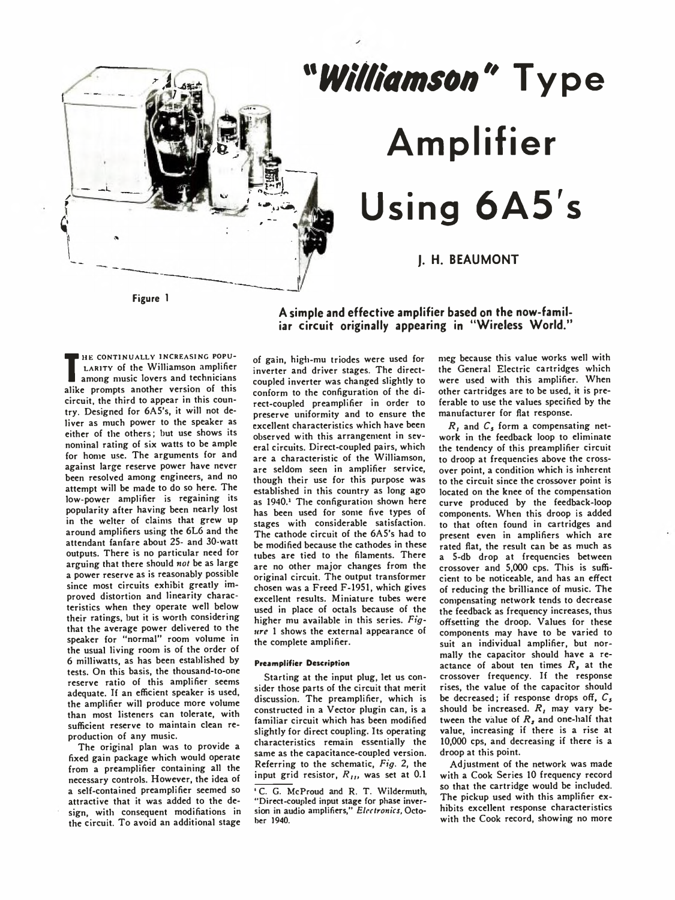

## *"Williamson***" Type Amplifier Using 6A5's**

**I. H. BEAUMONT** 

**TARITY OF THE WITH AND AMPLICE**<br>alike prompts another version of this HE CONTINUALLY INCREASING POPU-LARITY of the Williamson amplifier among music lovers and technicians circuit, the third to appear in this country. Designed for 6A5's, it will not deliver as much power to the speaker as either of the others; but use shows its nominal rating of six watts to be ample for home use. The arguments for and against large reserve power have never been resolved among engineers, and no attempt will be made to do so here. The low-power amplifier is regaining its popularity after having been nearly lost in the welter of claims that grew up around amplifiers using the 6L6 and the attendant fanfare about 25- and 30-watt outputs. There is no particular need for arguing that there should *not* be as large a power reserve as is reasonably possible since most circuits exhibit greatly improved distortion and linearity characteristics when they operate well below their ratings, but it is worth considering that the average power delivered to the speaker for "normal" room volume in the usual living room is of the order of 6 milliwatts, as has been established by tests. On this basis, the thousand-to-one reserve ratio of this amplifier seems adequate. If an efficient speaker is used, the amplifier will produce more volume than most listeners can tolerate, with sufficient reserve to maintain clean reproduction of any music.

The original plan was to provide a fixed gain package which would operate from a preamplifier containing all the necessary controls. However, the idea of a self-contained preamplifier seemed so attractive that it was added to the design, with consequent modifiations in the circuit. To avoid an additional stage

**A simple and effective amplifier based on the now-familiar circuit originally appearing in "Wireless World."**

of gain, high-mu triodes were used for inverter and driver stages. The directcoupled inverter was changed slightly to conform to the configuration of the direct-coupled preamplifier in order to preserve uniformity and to ensure the excellent characteristics which have been observed with this arrangement in several circuits. Direct-coupled pairs, which are a characteristic of the Williamson, are seldom seen in amplifier service, though their use for this purpose was established in this country as long ago as 1940.<sup>1</sup> The configuration shown here has been used for some five types of stages with considerable satisfaction. The cathode circuit of the 6A5's had to be modified because the cathodes in these tubes are tied to the filaments. There are no other major changes from the original circuit. The output transformer chosen was a Freed F-1951, which gives excellent results. Miniature tubes were used in place of octals because of the higher mu available in this series. *Figure* 1 shows the external appearance of the complete amplifier.

## **Preamplifier Description**

Starting at the input plug, let us consider those parts of the circuit that merit discussion. The preamplifier, which is constructed in a Vector plugin can, is a familiar circuit which has been modified slightly for direct coupling. Its operating characteristics remain essentially the same as the capacitance-coupled version. Referring to the schematic, *Fig.* 2, the input grid resistor,  $R_{II}$ , was set at 0.1 meg because this value works well with the General Electric cartridges which were used with this amplifier. When other cartridges are to be used, it is preferable to use the values specified by the manufacturer for flat response.

*R ,* and *C*j form a compensating network in the feedback loop to eliminate the tendency of this preamplifier circuit to droop at frequencies above the crossover point, a condition which is inherent to the circuit since the crossover point is located on the knee of the compensation curve produced by the feedback-loop components. When this droop is added to that often found in cartridges and present even in amplifiers which are rated flat, the result can be as much as a 5-db drop at frequencies between crossover and 5,000 cps. This is sufficient to be noticeable, and has an effect of reducing the brilliance of music. The compensating network tends to decrease the feedback as frequency increases, thus offsetting the droop. Values for these components may have to be varied to suit an individual amplifier, but normally the capacitor should have a reactance of about ten times  $R<sub>j</sub>$  at the crossover frequency. If the response rises, the value of the capacitor should be decreased; if response drops off,  $C_5$ should be increased. R, may vary between the value of  $R<sub>s</sub>$  and one-half that value, increasing if there is a rise at 10,000 cps, and decreasing if there is a droop at this point.

Adjustment of the network was made with a Cook Series 10 frequency record so that the cartridge would be included. The pickup used with this amplifier exhibits excellent response characteristics with the Cook record, showing no more

<sup>&</sup>lt;sup>1</sup> C. G. McProud and R. T. Wildermuth, "Direct-coupled input stage for phase inver-sion in audio amplifiers," *Electronics,* October 1940.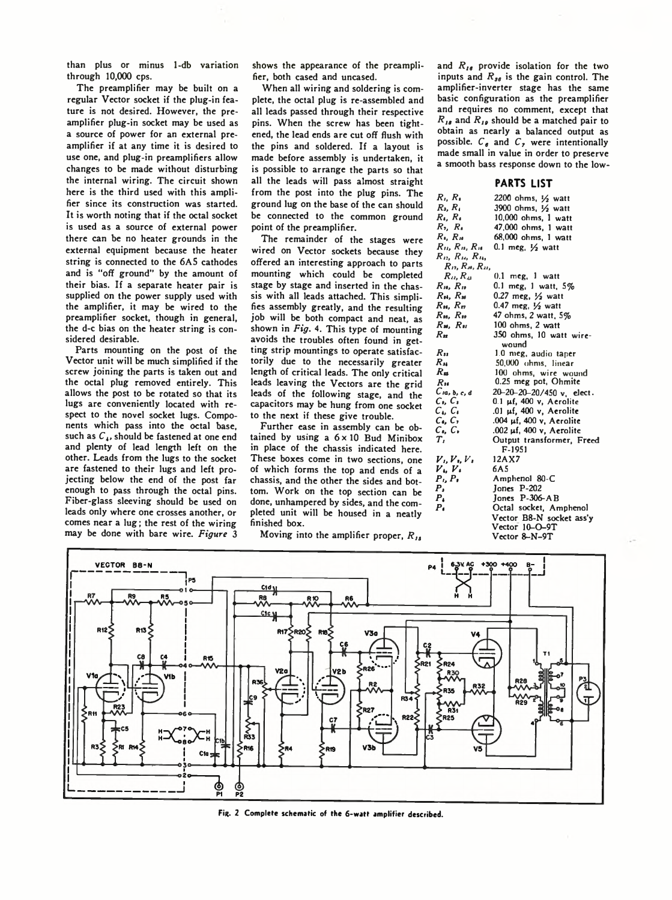than plus or minus 1-db variation through 10,000 cps.

The preamplifier may be built on a regular Vector socket if the plug-in feature is not desired. However, the preamplifier plug-in socket may be used as a source of power for an external preamplifier if at any time it is desired to use one, and plug-in preamplifiers allow changes to be made without disturbing the internal wiring. The circuit shown here is the third used with this amplifier since its construction was started. It is worth noting that if the octal socket is used as a source of external power there can be no heater grounds in the external equipment because the heater string is connected to the 6A5 cathodes and is "off ground" by the amount of their bias. If a separate heater pair is supplied on the power supply used with the amplifier, it may be wired to the preamplifier socket, though in general, the d-c bias on the heater string is considered desirable.

Parts mounting on the post of the Vector unit will be much simplified if the screw joining the parts is taken out and the octal plug removed entirely. This allows the post to be rotated so that its lugs are conveniently located with respect to the novel socket lugs. Components which pass into the octal base, such as  $C<sub>4</sub>$ , should be fastened at one end and plenty of lead length left on the other. Leads from the lugs to the socket are fastened to their lugs and left projecting below the end of the post far enough to pass through the octal pins. Fiber-glass sleeving should be used on leads only where one crosses another, or comes near a lug; the rest of the wiring may be done with bare wire. *Figure* 3

shows the appearance of the preamplifier, both cased and uncased.

When all wiring and soldering is complete, the octal plug is re-assembled and all leads passed through their respective pins. When the screw has been tightened, the lead ends are cut off flush with the pins and soldered. If a layout is made before assembly is undertaken, it is possible to arrange the parts so that all the leads will pass almost straight from the post into the plug pins. The ground lug on the base of the can should be connected to the common ground point of the preamplifier.

The remainder of the stages were wired on Vector sockets because they offered an interesting approach to parts mounting which could be completed stage by stage and inserted in the chassis with all leads attached. This simplifies assembly greatly, and the resulting job will be both compact and neat, as shown in *Fig.* 4. This type of mounting avoids the troubles often found in getting strip mountings to operate satisfactorily due to the necessarily greater length of critical leads. The only critical leads leaving the Vectors are the grid leads of the following stage, and the capacitors may be hung from one socket to the next if these give trouble.

Further ease in assembly can be obtained by using a  $6 \times 10$  Bud Minibox in place of the chassis indicated here. These boxes come in two sections, one of which forms the top and ends of a chassis, and the other the sides and bottom. Work on the top section can be done, unhampered by sides, and the completed unit will be housed in a neatly finished box.

Moving into the amplifier proper,  $R_{14}$ 

and  $R_{16}$  provide isolation for the two inputs and  $R_{\text{ss}}$  is the gain control. The amplifier-inverter stage has the same basic configuration as the preamplifier and requires no comment, except that  $R_{18}$  and  $R_{19}$  should be a matched pair to obtain as nearly a balanced output as possible.  $C_e$  and  $C_e$ , were intentionally made small in value in order to preserve a smooth bass response down to the low-

## **PARTS LIST**

| $R_i, R_i$                       | 2200 ohms, $1/2$ watt            |
|----------------------------------|----------------------------------|
| $R_i, R_i$                       | 3900 ohms, 1/2 watt              |
| $R_i, R_i$                       | 10,000 ohms, 1 watt              |
| $R_1, R_4$                       | 47,000 ohms, 1 watt              |
| $R_{\rm L} R_{\rm M}$            | 68,000 ohms, 1 watt              |
| $R_{II}$ , $R_{II}$ , $R_{II}$   | 0.1 meg. $1/2$ watt              |
| $R_{12}$ , $R_{14}$ , $R_{14}$ , |                                  |
| $R_{D}, R_{M}, R_{D}$            |                                  |
| $R_{II}$ , $R_{II}$              | $0.1$ meg, $1$ watt              |
| $R_{10}$ , $R_{10}$              | 0.1 meg, 1 watt, 5%              |
| $R_{H}$ , $R_{H}$                | $0.27$ meg, $\frac{1}{2}$ watt   |
| $R_{16}$ , $R_{17}$              | 0.47 meg, $\frac{1}{2}$ watt     |
| $R_{10}$ , $R_{10}$              | 47 ohms, 2 watt, 5%              |
| $R_{\rm M}$ , $R_{\rm M}$        | 100 ohms, 2 watt                 |
| $R_{\rm m}$                      | 350 ohms, 10 watt wire-          |
|                                  | wound                            |
| $R_{11}$                         | 1.0 meg, audio taper             |
| Ru                               | 50,000 ohms, linear              |
| $R_{\rm m}$                      | 100 ohms, wire wound             |
| $R_{10}$                         | 0.25 meg pot, Ohmite             |
| $C$ ia, b, c, d                  | 20-20-20-20/450 v, elect.        |
| $C_1, C_2$                       | $0.1$ $\mu$ f, $400$ v, Aerolite |
| $C_{\bullet}$ , $C_{\bullet}$    | .01 µf, 400 v, Aerolite          |
| $C_{\bullet}$ , $C_{\bullet}$    | .004 µf, 400 v, Aerolite         |
| $C_{\bullet}$ , $C_{\bullet}$    | .002 µf, 400 v, Aerolite         |
| $T_{I}$                          | Output transformer, Freed        |
|                                  | F-1951                           |
| $V_L, V_L, V_s$                  | 12AX7                            |
| $V_i, V_i$                       | 6A 5                             |
| $P_i, P_i$                       | Amphenol 80-C                    |
| Ρ,                               | Jones P-202                      |
| $P_{\rm A}$                      | Jones P-306-AB                   |
| Р.                               | Octal socket, Amphenol           |
|                                  | Vector B8-N socket ass'y         |
|                                  | Vector 10-O-9T                   |
|                                  | Vector 8-N-9T                    |



**Fie. 2 Complete schematic of the 6-watt amplifier described.**